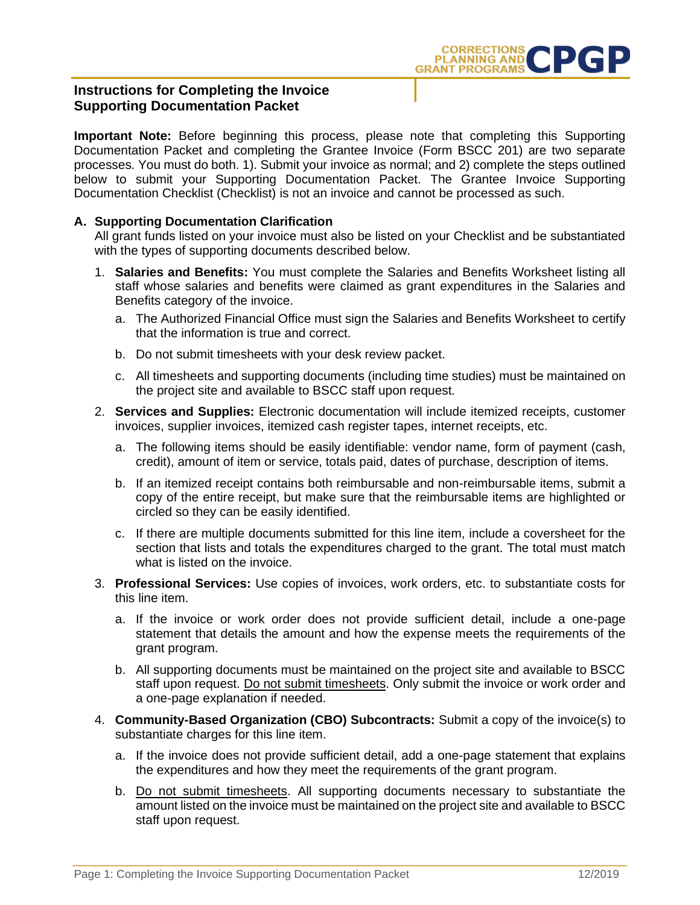

## **Instructions for Completing the Invoice Supporting Documentation Packet**

**Important Note:** Before beginning this process, please note that completing this Supporting Documentation Packet and completing the Grantee Invoice (Form BSCC 201) are two separate processes. You must do both. 1). Submit your invoice as normal; and 2) complete the steps outlined below to submit your Supporting Documentation Packet. The Grantee Invoice Supporting Documentation Checklist (Checklist) is not an invoice and cannot be processed as such.

## **A. Supporting Documentation Clarification**

All grant funds listed on your invoice must also be listed on your Checklist and be substantiated with the types of supporting documents described below.

- 1. **Salaries and Benefits:** You must complete the Salaries and Benefits Worksheet listing all staff whose salaries and benefits were claimed as grant expenditures in the Salaries and Benefits category of the invoice.
	- a. The Authorized Financial Office must sign the Salaries and Benefits Worksheet to certify that the information is true and correct.
	- b. Do not submit timesheets with your desk review packet.
	- c. All timesheets and supporting documents (including time studies) must be maintained on the project site and available to BSCC staff upon request.
- 2. **Services and Supplies:** Electronic documentation will include itemized receipts, customer invoices, supplier invoices, itemized cash register tapes, internet receipts, etc.
	- a. The following items should be easily identifiable: vendor name, form of payment (cash, credit), amount of item or service, totals paid, dates of purchase, description of items.
	- b. If an itemized receipt contains both reimbursable and non-reimbursable items, submit a copy of the entire receipt, but make sure that the reimbursable items are highlighted or circled so they can be easily identified.
	- c. If there are multiple documents submitted for this line item, include a coversheet for the section that lists and totals the expenditures charged to the grant. The total must match what is listed on the invoice.
- 3. **Professional Services:** Use copies of invoices, work orders, etc. to substantiate costs for this line item.
	- a. If the invoice or work order does not provide sufficient detail, include a one-page statement that details the amount and how the expense meets the requirements of the grant program.
	- b. All supporting documents must be maintained on the project site and available to BSCC staff upon request. Do not submit timesheets. Only submit the invoice or work order and a one-page explanation if needed.
- 4. **Community-Based Organization (CBO) Subcontracts:** Submit a copy of the invoice(s) to substantiate charges for this line item.
	- a. If the invoice does not provide sufficient detail, add a one-page statement that explains the expenditures and how they meet the requirements of the grant program.
	- b. Do not submit timesheets. All supporting documents necessary to substantiate the amount listed on the invoice must be maintained on the project site and available to BSCC staff upon request.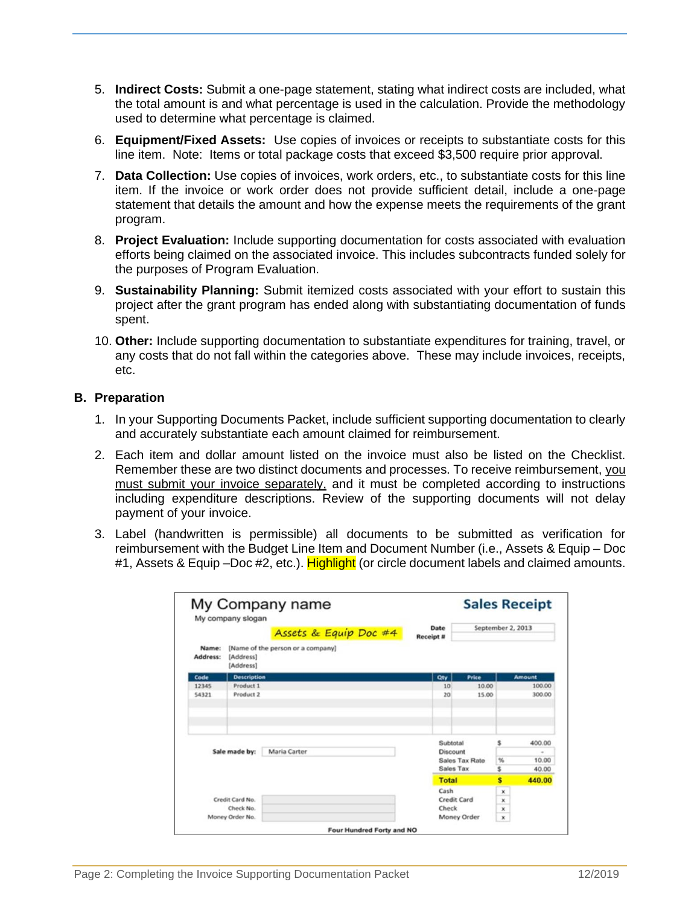- 5. **Indirect Costs:** Submit a one-page statement, stating what indirect costs are included, what the total amount is and what percentage is used in the calculation. Provide the methodology used to determine what percentage is claimed.
- 6. **Equipment/Fixed Assets:** Use copies of invoices or receipts to substantiate costs for this line item. Note: Items or total package costs that exceed \$3,500 require prior approval.
- 7. **Data Collection:** Use copies of invoices, work orders, etc., to substantiate costs for this line item. If the invoice or work order does not provide sufficient detail, include a one-page statement that details the amount and how the expense meets the requirements of the grant program.
- 8. **Project Evaluation:** Include supporting documentation for costs associated with evaluation efforts being claimed on the associated invoice. This includes subcontracts funded solely for the purposes of Program Evaluation.
- 9. **Sustainability Planning:** Submit itemized costs associated with your effort to sustain this project after the grant program has ended along with substantiating documentation of funds spent.
- 10. **Other:** Include supporting documentation to substantiate expenditures for training, travel, or any costs that do not fall within the categories above. These may include invoices, receipts, etc.

## **B. Preparation**

- 1. In your Supporting Documents Packet, include sufficient supporting documentation to clearly and accurately substantiate each amount claimed for reimbursement.
- 2. Each item and dollar amount listed on the invoice must also be listed on the Checklist. Remember these are two distinct documents and processes. To receive reimbursement, you must submit your invoice separately, and it must be completed according to instructions including expenditure descriptions. Review of the supporting documents will not delay payment of your invoice.
- 3. Label (handwritten is permissible) all documents to be submitted as verification for reimbursement with the Budget Line Item and Document Number (i.e., Assets & Equip – Doc #1, Assets & Equip –Doc #2, etc.). Highlight (or circle document labels and claimed amounts.

|                   | My Company name<br>My company slogan |                                   |                          | <b>Sales Receipt</b> |                       |         |                          |
|-------------------|--------------------------------------|-----------------------------------|--------------------------|----------------------|-----------------------|---------|--------------------------|
|                   |                                      | Assets & Equip Doc #4             | Date<br><b>Receipt #</b> |                      | September 2, 2013     |         |                          |
| Name:<br>Address: | [Address]<br>[Address]               | [Name of the person or a company] |                          |                      |                       |         |                          |
| Code              | <b>Description</b>                   |                                   |                          | Qty                  | Price                 |         | <b>Amount</b>            |
| 12345             | Product 1                            |                                   |                          | 10                   | 10.00                 |         | 100.00                   |
| 54321             | Product 2                            |                                   |                          | 20                   | 15.00                 |         | 300.00                   |
|                   |                                      |                                   |                          | Subtotal             |                       | \$      | 400.00                   |
|                   |                                      |                                   |                          |                      |                       |         |                          |
|                   | Sale made by:                        | Maria Carter                      |                          | Discount             |                       |         |                          |
|                   |                                      |                                   |                          | Sales Tax            | <b>Sales Tax Rate</b> | %<br>\$ |                          |
|                   |                                      |                                   |                          | Total                |                       | s       |                          |
|                   |                                      |                                   |                          | Cash                 |                       | x       |                          |
|                   | Credit Card No.                      |                                   |                          | Credit Card          |                       | x       |                          |
|                   | Check No.                            |                                   |                          | Check                |                       | ×       | 10.00<br>40.00<br>440.00 |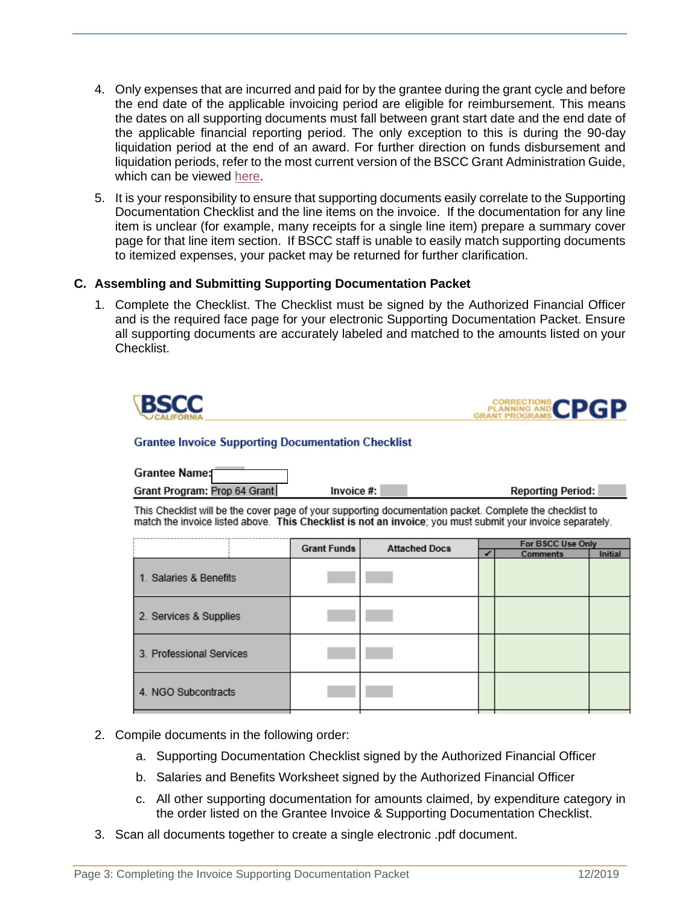- 4. Only expenses that are incurred and paid for by the grantee during the grant cycle and before the end date of the applicable invoicing period are eligible for reimbursement. This means the dates on all supporting documents must fall between grant start date and the end date of the applicable financial reporting period. The only exception to this is during the 90-day liquidation period at the end of an award. For further direction on funds disbursement and liquidation periods, refer to the most current version of the BSCC Grant Administration Guide, which can be viewed [here.](http://www.bscc.ca.gov/wp-content/uploads/BSCC-Grant-Admin-Guide-July-2020-Final.pdf)
- 5. It is your responsibility to ensure that supporting documents easily correlate to the Supporting Documentation Checklist and the line items on the invoice. If the documentation for any line item is unclear (for example, many receipts for a single line item) prepare a summary cover page for that line item section. If BSCC staff is unable to easily match supporting documents to itemized expenses, your packet may be returned for further clarification.

## **C. Assembling and Submitting Supporting Documentation Packet**

1. Complete the Checklist. The Checklist must be signed by the Authorized Financial Officer and is the required face page for your electronic Supporting Documentation Packet. Ensure all supporting documents are accurately labeled and matched to the amounts listed on your Checklist.

|                                                                                                                                                                                                                        |                    |                      |                                                        | CORRECTIONS CPGP |  |  |  |  |  |  |  |  |  |
|------------------------------------------------------------------------------------------------------------------------------------------------------------------------------------------------------------------------|--------------------|----------------------|--------------------------------------------------------|------------------|--|--|--|--|--|--|--|--|--|
| <b>Grantee Invoice Supporting Documentation Checklist</b>                                                                                                                                                              |                    |                      |                                                        |                  |  |  |  |  |  |  |  |  |  |
| <b>Grantee Name:</b>                                                                                                                                                                                                   |                    |                      |                                                        |                  |  |  |  |  |  |  |  |  |  |
| Grant Program: Prop 64 Grant                                                                                                                                                                                           | Invoice #:         |                      | <b>Reporting Period:</b>                               |                  |  |  |  |  |  |  |  |  |  |
| This Checklist will be the cover page of your supporting documentation packet. Complete the checklist to<br>match the invoice listed above. This Checklist is not an invoice; you must submit your invoice separately. |                    |                      |                                                        |                  |  |  |  |  |  |  |  |  |  |
|                                                                                                                                                                                                                        | <b>Grant Funds</b> | <b>Attached Docs</b> | For BSCC Use Only<br><b>Initial</b><br><b>Comments</b> |                  |  |  |  |  |  |  |  |  |  |
| 1. Salaries & Benefits                                                                                                                                                                                                 |                    |                      |                                                        |                  |  |  |  |  |  |  |  |  |  |
| 2. Services & Supplies                                                                                                                                                                                                 |                    |                      |                                                        |                  |  |  |  |  |  |  |  |  |  |
| 3. Professional Services                                                                                                                                                                                               |                    |                      |                                                        |                  |  |  |  |  |  |  |  |  |  |
| 4. NGO Subcontracts                                                                                                                                                                                                    |                    |                      |                                                        |                  |  |  |  |  |  |  |  |  |  |

- 2. Compile documents in the following order:
	- a. Supporting Documentation Checklist signed by the Authorized Financial Officer
	- b. Salaries and Benefits Worksheet signed by the Authorized Financial Officer
	- c. All other supporting documentation for amounts claimed, by expenditure category in the order listed on the Grantee Invoice & Supporting Documentation Checklist.
- 3. Scan all documents together to create a single electronic .pdf document.